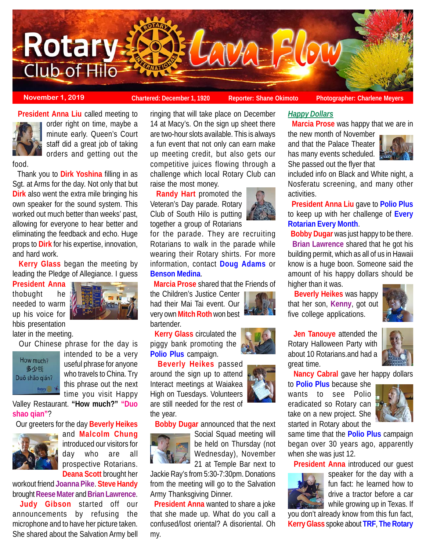

**November 1, 2019 Chartered: December 1, 1920** Reporter: Shane Okimoto Photographer: Charlene Meyer

**President Anna Liu** called meeting to



order right on time, maybe a minute early. Queen's Court staff did a great job of taking orders and getting out the

food.

 Thank you to **Dirk Yoshina** filling in as Sgt. at Arms for the day. Not only that but **Dirk** also went the extra mile bringing his own speaker for the sound system. This worked out much better than weeks' past, allowing for everyone to hear better and eliminating the feedback and echo. Huge props to **Dirk** for his expertise, innovation, and hard work.

 **Kerry Glass** began the meeting by leading the Pledge of Allegiance. I guess

**President Anna** thobught he needed to warm up his voice for hbis presentation



later in the meeting.

Our Chinese phrase for the day is



intended to be a very useful phrase for anyone who travels to China. Try this phrase out the next time you visit Happy

Valley Restaurant. **"How much?" "Duo shao qian"**?

Our greeters for the day **Beverly Heikes**



and **Malcolm Chung** introduced our visitors for day who are all prospective Rotarians. **Deana Scott** brought her

workout friend **Joanna Pike**. **Steve Handy** brought **Reese Mater** and **Brian Lawrence**.

**Judy Gibson** started off our announcements by refusing the microphone and to have her picture taken. She shared about the Salvation Army bell

ringing that will take place on December 14 at Macy's. On the sign up sheet there are two-hour slots available. This is always a fun event that not only can earn make up meeting credit, but also gets our competitive juices flowing through a challenge which local Rotary Club can raise the most money.

 **Randy Hart** promoted the Veteran's Day parade. Rotary Club of South Hilo is putting together a group of Rotarians

for the parade. They are recruiting Rotarians to walk in the parade while wearing their Rotary shirts. For more information, contact **Doug Adams** or **Benson Medina**.

**Marcia Prose** shared that the Friends of

the Children's Justice Center had their Mai Tai event. Our very own **Mitch Roth** won best bartender.

 **Kerry Glass** circulated the piggy bank promoting the **Polio Plus** campaign.

 **Beverly Heikes** passed around the sign up to attend Interact meetings at Waiakea High on Tuesdays. Volunteers are still needed for the rest of the year.

**Bobby Dugar** announced that the next



Social Squad meeting will be held on Thursday (not Wednesday), November 21 at Temple Bar next to

Jackie Ray's from 5:30-7:30pm. Donations from the meeting will go to the Salvation Army Thanksgiving Dinner.

 **President Anna** wanted to share a joke that she made up. What do you call a confused/lost oriental? A disoriental. Oh my.



*Happy Dollars*

**Marcia Prose** was happy that we are in

the new month of November and that the Palace Theater has many events scheduled. She passed out the flyer that



included info on Black and White night, a Nosferatu screening, and many other activities.

 **President Anna Liu** gave to **Polio Plus** to keep up with her challenge of **Every Rotarian Every Month**.

**Bobby Dugar** was just happy to be there.

 **Brian Lawrence** shared that he got his building permit, which as all of us in Hawaii know is a huge boon. Someone said the amount of his happy dollars should be higher than it was.

 **Beverly Heikes** was happy that her son, **Kenny**, got out five college applications.

 **Jen Tanouye** attended the Rotary Halloween Party with about 10 Rotarians.and had a great time.

**Nancy Cabral** gave her happy dollars

to **Polio Plus** because she wants to see Polio eradicated so Rotary can take on a new project. She started in Rotary about the



same time that the **Polio Plus** campaign began over 30 years ago, apparently when she was just 12.

**President Anna** introduced our guest



speaker for the day with a fun fact: he learned how to drive a tractor before a car while growing up in Texas. If

you don't already know from this fun fact, **Kerry Glass** spoke about **TRF**, **The Rotary**



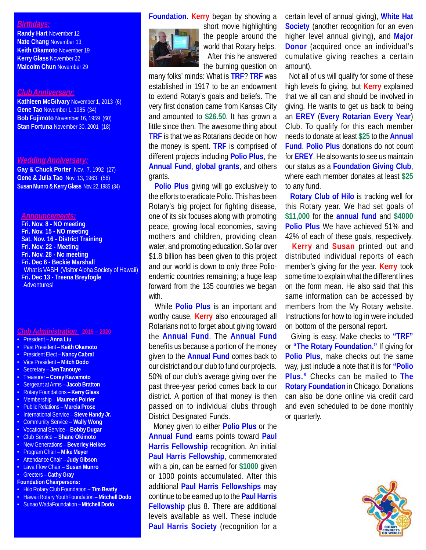## *Birthdays:*

**Randy Hart** November 12 **Nate Chang** November 13 **Keith Okamoto** November 19 **Kerry Glass** November 22 **Malcolm Chun** November 29

### *Club Anniversary:*

**Kathleen McGilvary** November 1, 2013 (6) **Gene Tao** November 1, 1985 (34) **Bob Fujimoto** November 16, 1959 (60) **Stan Fortuna** November 30, 2001 (18)

# *Wedding Anniversary:*

**Gay & Chuck Porter** Nov. 7, 1992 (27) **Gene & Julia Tao** Nov. 13, 1963 (56) **Susan Munro & Kerry Glass** Nov. 22, 1985 (34)

#### *Announcements:*

**Fri. Nov. 8 - NO meeting Fri. Nov. 15 - NO meeting Sat. Nov. 16 - District Training Fri. Nov. 22 - Meeting Fri. Nov. 28 - No meeting Fri. Dec 6 - Beckie Marshall** What is VASH (Visitor Aloha Society of Hawaii) **Fri. Dec 13 - Treena Breyfogle** Adventures!

#### *Club Administration* **2019 – 2020**

- President **Anna Liu**
- Past President **Keith Okamoto**
- President Elect **Nancy Cabral**
- Vice President **Mitch Dodo**
- Secretary **Jen Tanouye**
- Treasurer **Corey Kawamoto**
- Sergeant at Arms – **Jacob Bratton**
- Rotary Foundations **Kerry Glass**
- Membership **Maureen Poirier**
- Public Relations **Marcia Prose**
- International Service **Steve Handy Jr.**
- Community Service **Wally Wong**
- Vocational Service **Bobby Dugar**
- Club Service **Shane Okimoto**
- New Generations **Beverley Heikes**
- Program Chair – **Mike Meyer**
- Attendance Chair **Judy Gibson** • Lava Flow Chair – **Susan Munro**
- Greeters **Cathy Gray**
- **Foundation Chairpersons:**
- Hilo Rotary Club Foundation **Tim Beatty**
- Hawaii Rotary YouthFoundation **Mitchell Dodo**
- Sunao WadaFoundation **Mitchell Dodo**

# **Foundation**. **Kerry** began by showing a



short movie highlighting the people around the world that Rotary helps. After this he answered the burning question on

many folks' minds: What is **TRF**? **TRF** was established in 1917 to be an endowment to extend Rotary's goals and beliefs. The very first donation came from Kansas City and amounted to **\$26.50**. It has grown a little since then. The awesome thing about **TRF** is that we as Rotarians decide on how the money is spent. **TRF** is comprised of different projects including **Polio Plus**, the **Annual Fund**, **global grants**, and others grants.

 **Polio Plus** giving will go exclusively to the efforts to eradicate Polio. This has been Rotary's big project for fighting disease, one of its six focuses along with promoting peace, growing local economies, saving mothers and children, providing clean water, and promoting education. So far over \$1.8 billion has been given to this project and our world is down to only three Polioendemic countries remaining; a huge leap forward from the 135 countries we began with.

 While **Polio Plus** is an important and worthy cause, **Kerry** also encouraged all Rotarians not to forget about giving toward the **Annual Fund**. The **Annual Fund** benefits us because a portion of the money given to the **Annual Fund** comes back to our district and our club to fund our projects. 50% of our club's average giving over the past three-year period comes back to our district. A portion of that money is then passed on to individual clubs through District Designated Funds.

 Money given to either **Polio Plus** or the **Annual Fund** earns points toward **Paul Harris Fellowship** recognition. An initial **Paul Harris Fellowship**, commemorated with a pin, can be earned for **\$1000** given or 1000 points accumulated. After this additional **Paul Harris Fellowships** may continue to be earned up to the **Paul Harris Fellowship** plus 8. There are additional levels available as well. These include **Paul Harris Society** (recognition for a

certain level of annual giving), **White Hat Society** (another recognition for an even higher level annual giving), and **Major Donor** (acquired once an individual's cumulative giving reaches a certain amount).

 Not all of us will qualify for some of these high levels fo giving, but **Kerry** explained that we all can and should be involved in giving. He wants to get us back to being an **EREY** (**Every Rotarian Every Year**) Club. To qualify for this each member needs to donate at least **\$25** to the **Annual Fund**. **Polio Plus** donations do not count for **EREY**. He also wants to see us maintain our status as a **Foundation Giving Club**, where each member donates at least **\$25** to any fund.

 **Rotary Club of Hilo** is tracking well for this Rotary year. We had set goals of **\$11,000** for the **annual fund** and **\$4000 Polio Plus** We have achieved 51% and 42% of each of these goals, respectively.

 **Kerry** and **Susan** printed out and distributed individual reports of each member's giving for the year. **Kerry** took some time to explain what the different lines on the form mean. He also said that this same information can be accessed by members from the My Rotary website. Instructions for how to log in were included on bottom of the personal report.

 Giving is easy. Make checks to **"TRF"** or **"The Rotary Foundation."** If giving for **Polio Plus**, make checks out the same way, just include a note that it is for **"Polio Plus."** Checks can be mailed to **The Rotary Foundation** in Chicago. Donations can also be done online via credit card and even scheduled to be done monthly or quarterly.